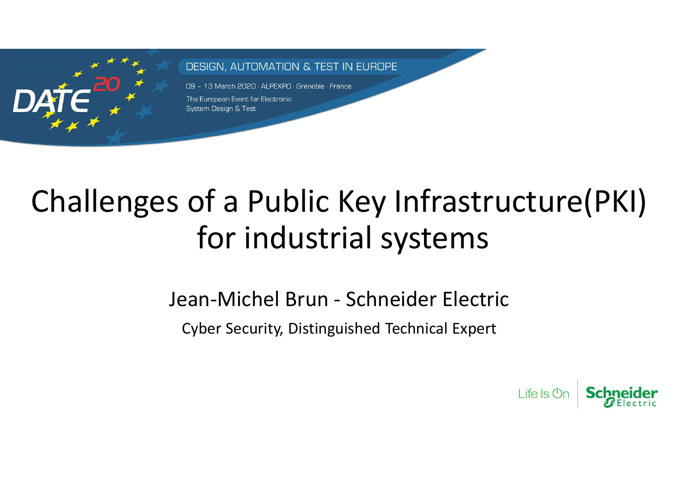

#### **DESIGN. AUTOMATION & TEST IN EUROPE**

09 - 13 March 2020 · ALPEXPO · Grenoble · France

# Sumbernates<br>
Soof a Public Key Infrastructure<br>
Jean-Michel Brun - Schneider Electric<br>
Cyber Security, Distinguished Technical Expert<br>
Cyber Security, Distinguished Technical Expert Challenges of a Public Key Infrastructure(PKI) for industrial systems

Cyber Security, Distinguished Technical Expert

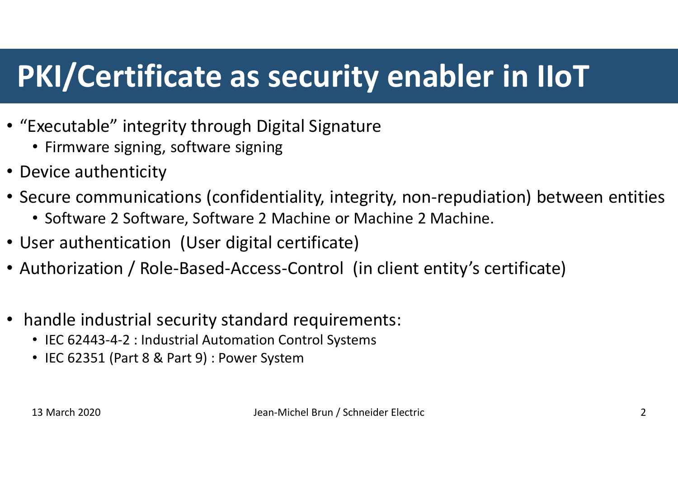#### PKI/Certificate as security enabler in IIoT

- "Executable" integrity through Digital Signature
	- Firmware signing, software signing
- Device authenticity
- Secure communications (confidentiality, integrity, non-repudiation) between entities
	- Software 2 Software, Software 2 Machine or Machine 2 Machine.
- User authentication (User digital certificate)
- Authorization / Role-Based-Access-Control (in client entity's certificate) • Software 2 Software, Software 2 Machine or Machine 2 Machine.<br>
ser authentication (User digital certificate)<br>
uthorization / Role-Based-Access-Control (in client entity's certificate)<br>
andle industrial security standard
- handle industrial security standard requirements:
	- IEC 62443-4-2 : Industrial Automation Control Systems
	- IEC 62351 (Part 8 & Part 9) : Power System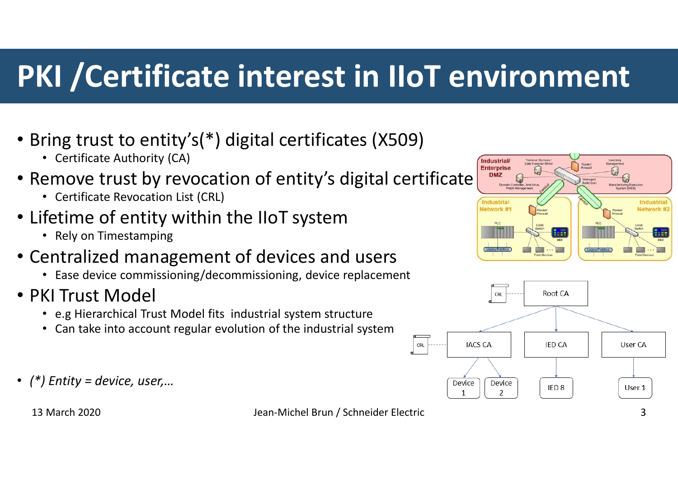#### PKI /Certificate interest in IIoT environment

- Bring trust to entity's(\*) digital certificates (X509)
	- Certificate Authority (CA)
- Remove trust by revocation of entity's digital certificate Frame trust to entity's(\*) digital certificates (X509)<br>
• Certificate Authority (CA)<br>
• enrove trust by revocation of entity's digital certificate<br>
• Certificate Revocation List (CRL)<br>
• Fely on Timestamping<br>
• Enter of e
	- Certificate Revocation List (CRL)
- Lifetime of entity within the IIoT system
	- Rely on Timestamping
- Centralized management of devices and users
	- Ease device commissioning/decommissioning, device replacement
- PKI Trust Model
	-
	- Can take into account regular evolution of the industrial system
- $(*)$  Entity = device, user,...

Industrial

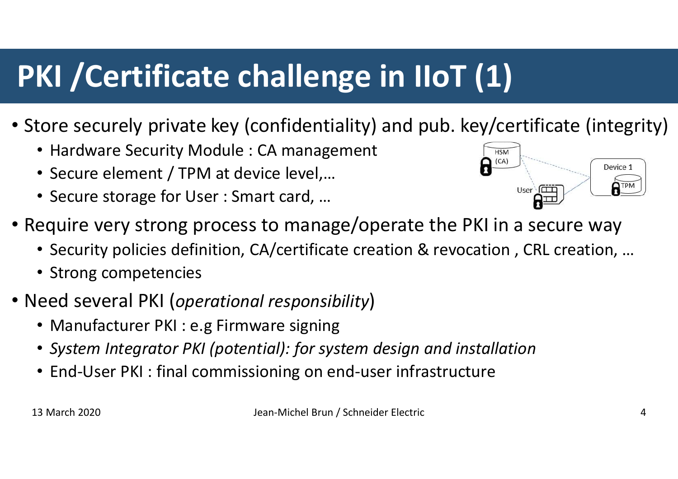## PKI /Certificate challenge in IIoT (1)

- Store securely private key (confidentiality) and pub. key/certificate (integrity)
	- Hardware Security Module : CA management
	- Secure element / TPM at device level,...
	- Secure storage for User : Smart card, …



- Require very strong process to manage/operate the PKI in a secure way For Becureix private key (Commuentianty) and pub. ke<br>
• Hardware Security Module : CA management<br>
• Secure element / TPM at device level,...<br>
• Secure storage for User : Smart card, ...<br>
• Gequire very strong process to ma Nequire very strong process to manage/operate the PKI in a secure way<br>
• Security policies definition, CA/certificate creation & revocation , CRL creation, ...<br>
• Strong competencies<br>
Need several PKI (*operational respons* 
	- Security policies definition, CA/certificate creation & revocation , CRL creation, …
	- Strong competencies
- Need several PKI (operational responsibility)
	-
	- System Integrator PKI (potential): for system design and installation
	- End-User PKI : final commissioning on end-user infrastructure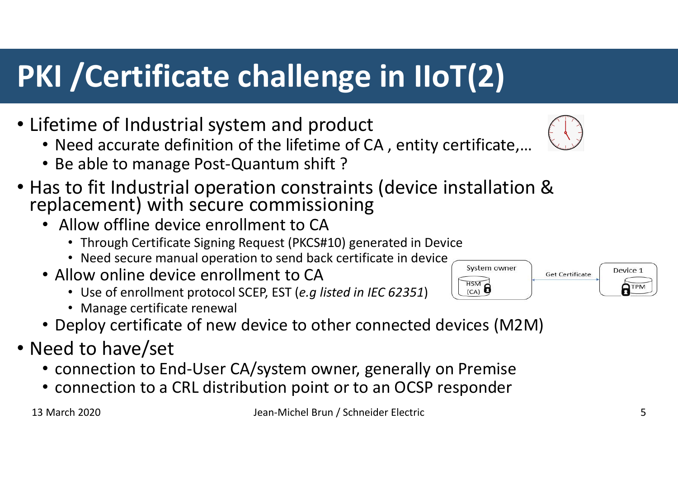### PKI /Certificate challenge in IIoT(2)

- Lifetime of Industrial system and product
	- Need accurate definition of the lifetime of CA , entity certificate,…
	- Be able to manage Post-Quantum shift ?
- Has to fit Industrial operation constraints (device installation & replacement) with secure commissioning From the distribution of the lifetime of CA, entity certificate,...<br>
Leadie to manage Post-Quantum shift ?<br>
Leadie to manage Post-Quantum shift ?<br>
Leadie to manage Post-Quantum shift ?<br>
Leading the certificate in the sect
	- Allow offline device enrollment to CA
		- Through Certificate Signing Request (PKCS#10) generated in Device
		- Need secure manual operation to send back certificate in device  $\overline{\hspace{1cm}C_{\textrm{system owner}}}$
	- Allow online device enrollment to CA<br>• Use of enrollment protocol SCEP EST (e a listed in IEC 62351)
		-
		-
	- Deploy certificate of new device to other connected devices (M2M)
- Need to have/set
	- connection to End-User CA/system owner, generally on Premise
	- connection to a CRL distribution point or to an OCSP responder